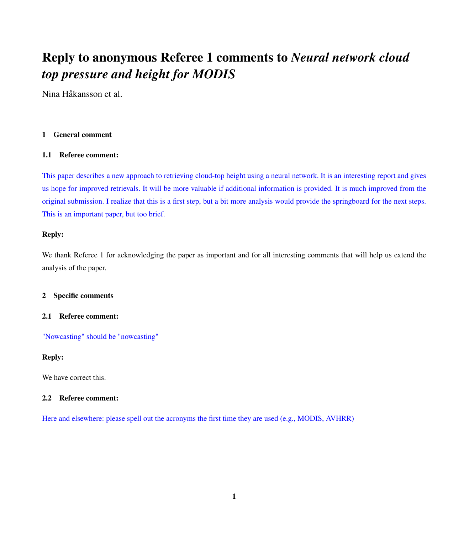# Reply to anonymous Referee 1 comments to *Neural network cloud top pressure and height for MODIS*

Nina Håkansson et al.

# 1 General comment

# 1.1 Referee comment:

This paper describes a new approach to retrieving cloud-top height using a neural network. It is an interesting report and gives us hope for improved retrievals. It will be more valuable if additional information is provided. It is much improved from the original submission. I realize that this is a first step, but a bit more analysis would provide the springboard for the next steps. This is an important paper, but too brief.

# Reply:

We thank Referee 1 for acknowledging the paper as important and for all interesting comments that will help us extend the analysis of the paper.

# 2 Specific comments

# 2.1 Referee comment:

"Nowcasting" should be "nowcasting"

# Reply:

We have correct this.

# 2.2 Referee comment:

Here and elsewhere: please spell out the acronyms the first time they are used (e.g., MODIS, AVHRR)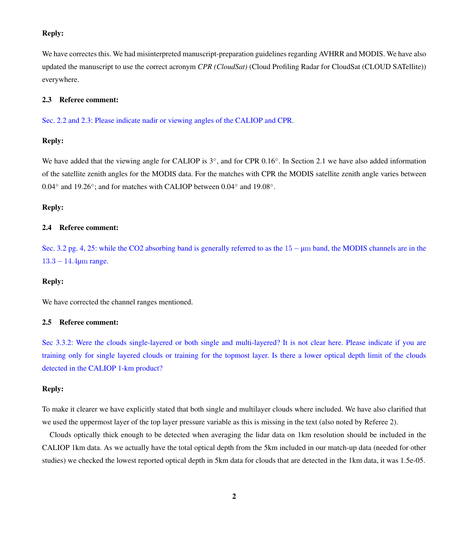## Reply:

We have correctes this. We had misinterpreted manuscript-preparation guidelines regarding AVHRR and MODIS. We have also updated the manuscript to use the correct acronym *CPR (CloudSat)* (Cloud Profiling Radar for CloudSat (CLOUD SATellite)) everywhere.

### 2.3 Referee comment:

Sec. 2.2 and 2.3: Please indicate nadir or viewing angles of the CALIOP and CPR.

## Reply:

We have added that the viewing angle for CALIOP is 3°, and for CPR 0.16°. In Section 2.1 we have also added information of the satellite zenith angles for the MODIS data. For the matches with CPR the MODIS satellite zenith angle varies between 0.04° and 19.26°; and for matches with CALIOP between 0.04° and 19.08°.

#### Reply:

## 2.4 Referee comment:

Sec. 3.2 pg. 4, 25: while the CO2 absorbing band is generally referred to as the 15 − µm band, the MODIS channels are in the 13.3 − 14.4µm range.

## Reply:

We have corrected the channel ranges mentioned.

#### 2.5 Referee comment:

Sec 3.3.2: Were the clouds single-layered or both single and multi-layered? It is not clear here. Please indicate if you are training only for single layered clouds or training for the topmost layer. Is there a lower optical depth limit of the clouds detected in the CALIOP 1-km product?

## Reply:

To make it clearer we have explicitly stated that both single and multilayer clouds where included. We have also clarified that we used the uppermost layer of the top layer pressure variable as this is missing in the text (also noted by Referee 2).

Clouds optically thick enough to be detected when averaging the lidar data on 1km resolution should be included in the CALIOP 1km data. As we actually have the total optical depth from the 5km included in our match-up data (needed for other studies) we checked the lowest reported optical depth in 5km data for clouds that are detected in the 1km data, it was 1.5e-05.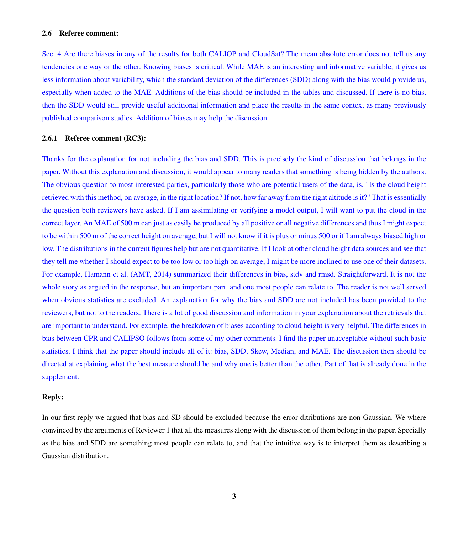#### 2.6 Referee comment:

Sec. 4 Are there biases in any of the results for both CALIOP and CloudSat? The mean absolute error does not tell us any tendencies one way or the other. Knowing biases is critical. While MAE is an interesting and informative variable, it gives us less information about variability, which the standard deviation of the differences (SDD) along with the bias would provide us, especially when added to the MAE. Additions of the bias should be included in the tables and discussed. If there is no bias, then the SDD would still provide useful additional information and place the results in the same context as many previously published comparison studies. Addition of biases may help the discussion.

#### 2.6.1 Referee comment (RC3):

Thanks for the explanation for not including the bias and SDD. This is precisely the kind of discussion that belongs in the paper. Without this explanation and discussion, it would appear to many readers that something is being hidden by the authors. The obvious question to most interested parties, particularly those who are potential users of the data, is, "Is the cloud height retrieved with this method, on average, in the right location? If not, how far away from the right altitude is it?" That is essentially the question both reviewers have asked. If I am assimilating or verifying a model output, I will want to put the cloud in the correct layer. An MAE of 500 m can just as easily be produced by all positive or all negative differences and thus I might expect to be within 500 m of the correct height on average, but I will not know if it is plus or minus 500 or if I am always biased high or low. The distributions in the current figures help but are not quantitative. If I look at other cloud height data sources and see that they tell me whether I should expect to be too low or too high on average, I might be more inclined to use one of their datasets. For example, Hamann et al. (AMT, 2014) summarized their differences in bias, stdv and rmsd. Straightforward. It is not the whole story as argued in the response, but an important part. and one most people can relate to. The reader is not well served when obvious statistics are excluded. An explanation for why the bias and SDD are not included has been provided to the reviewers, but not to the readers. There is a lot of good discussion and information in your explanation about the retrievals that are important to understand. For example, the breakdown of biases according to cloud height is very helpful. The differences in bias between CPR and CALIPSO follows from some of my other comments. I find the paper unacceptable without such basic statistics. I think that the paper should include all of it: bias, SDD, Skew, Median, and MAE. The discussion then should be directed at explaining what the best measure should be and why one is better than the other. Part of that is already done in the supplement.

#### Reply:

In our first reply we argued that bias and SD should be excluded because the error ditributions are non-Gaussian. We where convinced by the arguments of Reviewer 1 that all the measures along with the discussion of them belong in the paper. Specially as the bias and SDD are something most people can relate to, and that the intuitive way is to interpret them as describing a Gaussian distribution.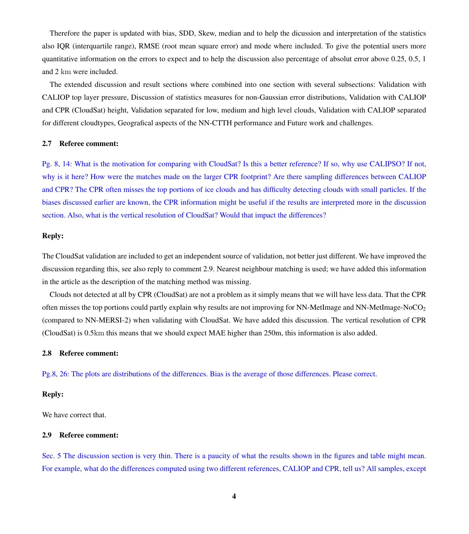Therefore the paper is updated with bias, SDD, Skew, median and to help the dicussion and interpretation of the statistics also IQR (interquartile range), RMSE (root mean square error) and mode where included. To give the potential users more quantitative information on the errors to expect and to help the discussion also percentage of absolut error above 0.25, 0.5, 1 and 2 km were included.

The extended discussion and result sections where combined into one section with several subsections: Validation with CALIOP top layer pressure, Discussion of statistics measures for non-Gaussian error distributions, Validation with CALIOP and CPR (CloudSat) height, Validation separated for low, medium and high level clouds, Validation with CALIOP separated for different cloudtypes, Geografical aspects of the NN-CTTH performance and Future work and challenges.

#### 2.7 Referee comment:

Pg. 8, 14: What is the motivation for comparing with CloudSat? Is this a better reference? If so, why use CALIPSO? If not, why is it here? How were the matches made on the larger CPR footprint? Are there sampling differences between CALIOP and CPR? The CPR often misses the top portions of ice clouds and has difficulty detecting clouds with small particles. If the biases discussed earlier are known, the CPR information might be useful if the results are interpreted more in the discussion section. Also, what is the vertical resolution of CloudSat? Would that impact the differences?

## Reply:

The CloudSat validation are included to get an independent source of validation, not better just different. We have improved the discussion regarding this, see also reply to comment 2.9. Nearest neighbour matching is used; we have added this information in the article as the description of the matching method was missing.

Clouds not detected at all by CPR (CloudSat) are not a problem as it simply means that we will have less data. That the CPR often misses the top portions could partly explain why results are not improving for NN-MetImage and NN-MetImage-NoCO<sub>2</sub> (compared to NN-MERSI-2) when validating with CloudSat. We have added this discussion. The vertical resolution of CPR (CloudSat) is 0.5km this means that we should expect MAE higher than 250m, this information is also added.

## 2.8 Referee comment:

Pg.8, 26: The plots are distributions of the differences. Bias is the average of those differences. Please correct.

#### Reply:

We have correct that.

#### 2.9 Referee comment:

Sec. 5 The discussion section is very thin. There is a paucity of what the results shown in the figures and table might mean. For example, what do the differences computed using two different references, CALIOP and CPR, tell us? All samples, except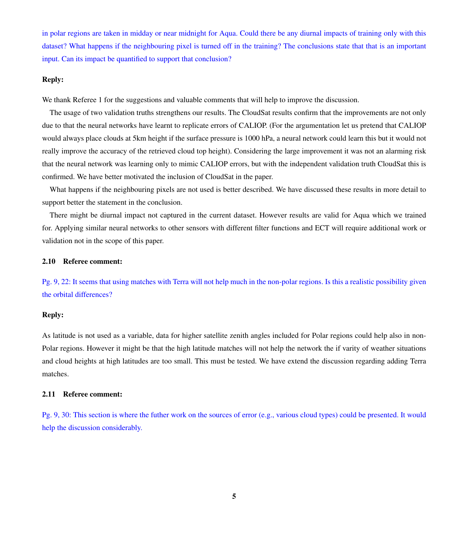in polar regions are taken in midday or near midnight for Aqua. Could there be any diurnal impacts of training only with this dataset? What happens if the neighbouring pixel is turned off in the training? The conclusions state that that is an important input. Can its impact be quantified to support that conclusion?

### Reply:

We thank Referee 1 for the suggestions and valuable comments that will help to improve the discussion.

The usage of two validation truths strengthens our results. The CloudSat results confirm that the improvements are not only due to that the neural networks have learnt to replicate errors of CALIOP. (For the argumentation let us pretend that CALIOP would always place clouds at 5km height if the surface pressure is 1000 hPa, a neural network could learn this but it would not really improve the accuracy of the retrieved cloud top height). Considering the large improvement it was not an alarming risk that the neural network was learning only to mimic CALIOP errors, but with the independent validation truth CloudSat this is confirmed. We have better motivated the inclusion of CloudSat in the paper.

What happens if the neighbouring pixels are not used is better described. We have discussed these results in more detail to support better the statement in the conclusion.

There might be diurnal impact not captured in the current dataset. However results are valid for Aqua which we trained for. Applying similar neural networks to other sensors with different filter functions and ECT will require additional work or validation not in the scope of this paper.

#### 2.10 Referee comment:

Pg. 9, 22: It seems that using matches with Terra will not help much in the non-polar regions. Is this a realistic possibility given the orbital differences?

#### Reply:

As latitude is not used as a variable, data for higher satellite zenith angles included for Polar regions could help also in non-Polar regions. However it might be that the high latitude matches will not help the network the if varity of weather situations and cloud heights at high latitudes are too small. This must be tested. We have extend the discussion regarding adding Terra matches.

#### 2.11 Referee comment:

Pg. 9, 30: This section is where the futher work on the sources of error (e.g., various cloud types) could be presented. It would help the discussion considerably.